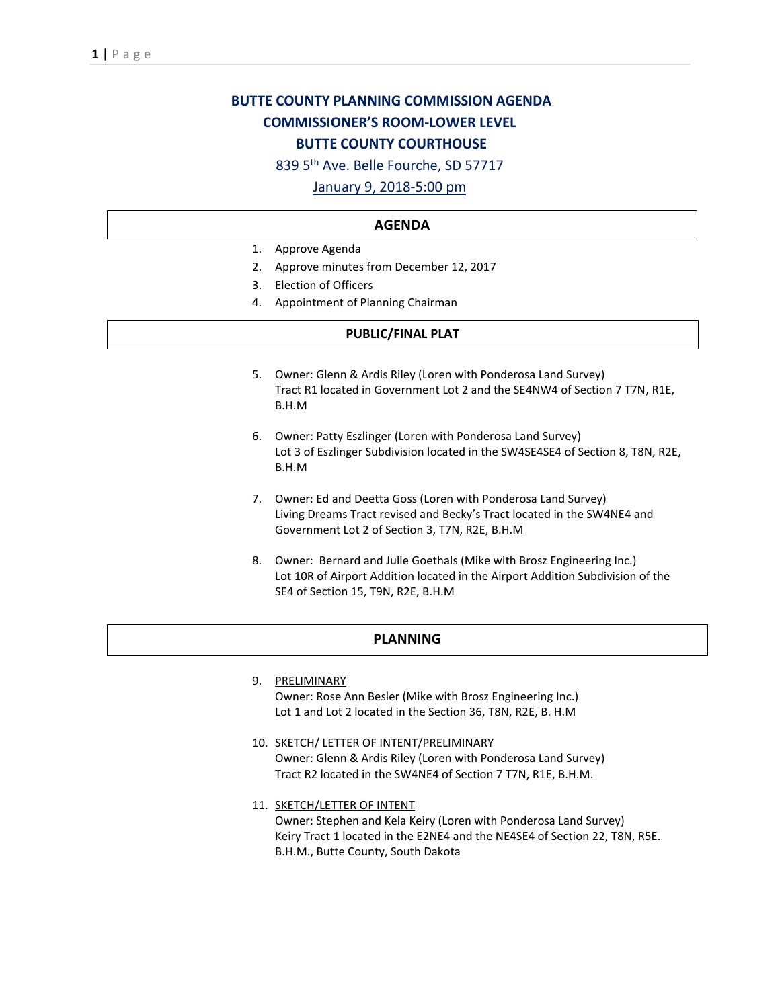# **BUTTE COUNTY PLANNING COMMISSION AGENDA COMMISSIONER'S ROOM-LOWER LEVEL BUTTE COUNTY COURTHOUSE**

839 5th Ave. Belle Fourche, SD 57717

## January 9, 2018-5:00 pm

#### **AGENDA**

- 1. Approve Agenda
- 2. Approve minutes from December 12, 2017
- 3. Election of Officers
- 4. Appointment of Planning Chairman

## **PUBLIC/FINAL PLAT**

- 5. Owner: Glenn & Ardis Riley (Loren with Ponderosa Land Survey) Tract R1 located in Government Lot 2 and the SE4NW4 of Section 7 T7N, R1E, B.H.M
- 6. Owner: Patty Eszlinger (Loren with Ponderosa Land Survey) Lot 3 of Eszlinger Subdivision located in the SW4SE4SE4 of Section 8, T8N, R2E, B.H.M
- 7. Owner: Ed and Deetta Goss (Loren with Ponderosa Land Survey) Living Dreams Tract revised and Becky's Tract located in the SW4NE4 and Government Lot 2 of Section 3, T7N, R2E, B.H.M
- 8. Owner: Bernard and Julie Goethals (Mike with Brosz Engineering Inc.) Lot 10R of Airport Addition located in the Airport Addition Subdivision of the SE4 of Section 15, T9N, R2E, B.H.M

## **PLANNING**

- 9. PRELIMINARY Owner: Rose Ann Besler (Mike with Brosz Engineering Inc.) Lot 1 and Lot 2 located in the Section 36, T8N, R2E, B. H.M
- 10. SKETCH/ LETTER OF INTENT/PRELIMINARY Owner: Glenn & Ardis Riley (Loren with Ponderosa Land Survey) Tract R2 located in the SW4NE4 of Section 7 T7N, R1E, B.H.M.
- 11. **SKETCH/LETTER OF INTENT** Owner: Stephen and Kela Keiry (Loren with Ponderosa Land Survey) Keiry Tract 1 located in the E2NE4 and the NE4SE4 of Section 22, T8N, R5E. B.H.M., Butte County, South Dakota